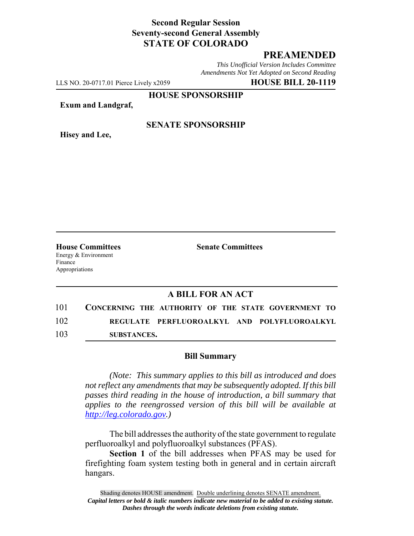## **Second Regular Session Seventy-second General Assembly STATE OF COLORADO**

# **PREAMENDED**

*This Unofficial Version Includes Committee Amendments Not Yet Adopted on Second Reading*

LLS NO. 20-0717.01 Pierce Lively x2059 **HOUSE BILL 20-1119**

**HOUSE SPONSORSHIP**

**Exum and Landgraf,**

**Hisey and Lee,**

### **SENATE SPONSORSHIP**

Energy & Environment Finance Appropriations

**House Committees Senate Committees**

### **A BILL FOR AN ACT**

| 101 | CONCERNING THE AUTHORITY OF THE STATE GOVERNMENT TO |
|-----|-----------------------------------------------------|
| 102 | REGULATE PERFLUOROALKYL AND POLYFLUOROALKYL         |
| 103 | SUBSTANCES.                                         |

#### **Bill Summary**

*(Note: This summary applies to this bill as introduced and does not reflect any amendments that may be subsequently adopted. If this bill passes third reading in the house of introduction, a bill summary that applies to the reengrossed version of this bill will be available at http://leg.colorado.gov.)*

The bill addresses the authority of the state government to regulate perfluoroalkyl and polyfluoroalkyl substances (PFAS).

**Section 1** of the bill addresses when PFAS may be used for firefighting foam system testing both in general and in certain aircraft hangars.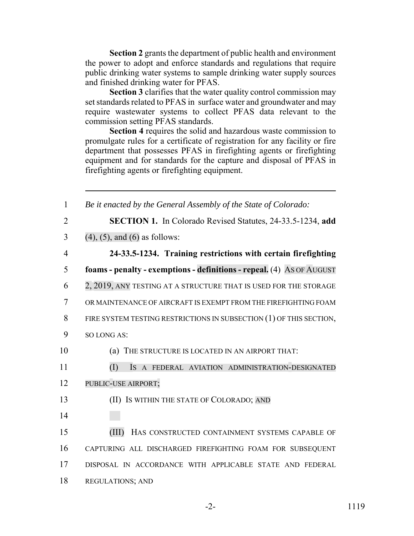**Section 2** grants the department of public health and environment the power to adopt and enforce standards and regulations that require public drinking water systems to sample drinking water supply sources and finished drinking water for PFAS.

**Section 3** clarifies that the water quality control commission may set standards related to PFAS in surface water and groundwater and may require wastewater systems to collect PFAS data relevant to the commission setting PFAS standards.

**Section 4** requires the solid and hazardous waste commission to promulgate rules for a certificate of registration for any facility or fire department that possesses PFAS in firefighting agents or firefighting equipment and for standards for the capture and disposal of PFAS in firefighting agents or firefighting equipment.

| $\mathbf{1}$   | Be it enacted by the General Assembly of the State of Colorado:       |
|----------------|-----------------------------------------------------------------------|
| $\overline{2}$ | <b>SECTION 1.</b> In Colorado Revised Statutes, 24-33.5-1234, add     |
| 3              | $(4)$ , $(5)$ , and $(6)$ as follows:                                 |
| $\overline{4}$ | 24-33.5-1234. Training restrictions with certain firefighting         |
| 5              | foams - penalty - exemptions - definitions - repeal. (4) AS OF AUGUST |
| 6              | 2, 2019, ANY TESTING AT A STRUCTURE THAT IS USED FOR THE STORAGE      |
| 7              | OR MAINTENANCE OF AIRCRAFT IS EXEMPT FROM THE FIREFIGHTING FOAM       |
| 8              | FIRE SYSTEM TESTING RESTRICTIONS IN SUBSECTION (1) OF THIS SECTION,   |
| 9              | SO LONG AS:                                                           |
| 10             | THE STRUCTURE IS LOCATED IN AN AIRPORT THAT:<br>(a)                   |
| 11             | (I)<br>IS A FEDERAL AVIATION ADMINISTRATION-DESIGNATED                |
| 12             | PUBLIC-USE AIRPORT;                                                   |
| 13             | (II) IS WITHIN THE STATE OF COLORADO; AND                             |
| 14             |                                                                       |
| 15             | (III)<br>HAS CONSTRUCTED CONTAINMENT SYSTEMS CAPABLE OF               |
| 16             | CAPTURING ALL DISCHARGED FIREFIGHTING FOAM FOR SUBSEQUENT             |
| 17             | DISPOSAL IN ACCORDANCE WITH APPLICABLE STATE AND FEDERAL              |
| 18             | <b>REGULATIONS; AND</b>                                               |
|                |                                                                       |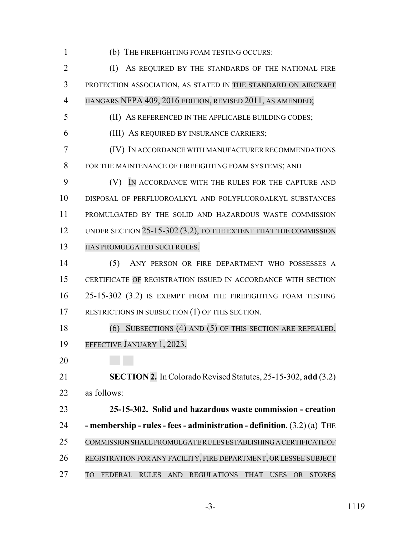(b) THE FIREFIGHTING FOAM TESTING OCCURS:

 (I) AS REQUIRED BY THE STANDARDS OF THE NATIONAL FIRE PROTECTION ASSOCIATION, AS STATED IN THE STANDARD ON AIRCRAFT HANGARS NFPA 409, 2016 EDITION, REVISED 2011, AS AMENDED; (II) AS REFERENCED IN THE APPLICABLE BUILDING CODES;

(III) AS REQUIRED BY INSURANCE CARRIERS;

 (IV) IN ACCORDANCE WITH MANUFACTURER RECOMMENDATIONS FOR THE MAINTENANCE OF FIREFIGHTING FOAM SYSTEMS; AND

 (V) IN ACCORDANCE WITH THE RULES FOR THE CAPTURE AND DISPOSAL OF PERFLUOROALKYL AND POLYFLUOROALKYL SUBSTANCES PROMULGATED BY THE SOLID AND HAZARDOUS WASTE COMMISSION 12 UNDER SECTION 25-15-302 (3.2), TO THE EXTENT THAT THE COMMISSION HAS PROMULGATED SUCH RULES.

 (5) ANY PERSON OR FIRE DEPARTMENT WHO POSSESSES A CERTIFICATE OF REGISTRATION ISSUED IN ACCORDANCE WITH SECTION 25-15-302 (3.2) IS EXEMPT FROM THE FIREFIGHTING FOAM TESTING RESTRICTIONS IN SUBSECTION (1) OF THIS SECTION.

 (6) SUBSECTIONS (4) AND (5) OF THIS SECTION ARE REPEALED, EFFECTIVE JANUARY 1, 2023.

 **SECTION 2.** In Colorado Revised Statutes, 25-15-302, **add** (3.2) as follows:

 **25-15-302. Solid and hazardous waste commission - creation - membership - rules - fees - administration - definition.** (3.2) (a) THE COMMISSION SHALLPROMULGATERULES ESTABLISHING A CERTIFICATE OF REGISTRATION FOR ANY FACILITY, FIRE DEPARTMENT, ORLESSEE SUBJECT TO FEDERAL RULES AND REGULATIONS THAT USES OR STORES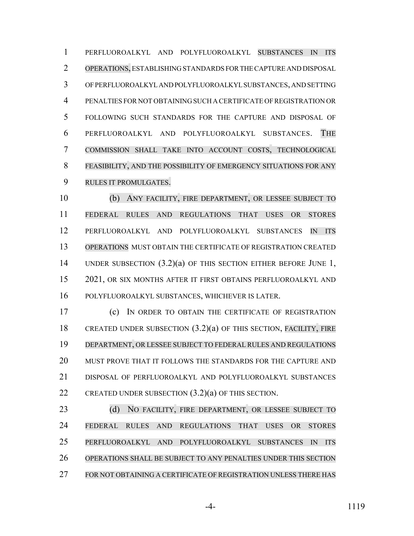PERFLUOROALKYL AND POLYFLUOROALKYL SUBSTANCES IN ITS OPERATIONS, ESTABLISHING STANDARDS FOR THE CAPTURE AND DISPOSAL OF PERFLUOROALKYL AND POLYFLUOROALKYL SUBSTANCES, AND SETTING PENALTIES FOR NOT OBTAINING SUCH A CERTIFICATE OF REGISTRATION OR FOLLOWING SUCH STANDARDS FOR THE CAPTURE AND DISPOSAL OF PERFLUOROALKYL AND POLYFLUOROALKYL SUBSTANCES. THE COMMISSION SHALL TAKE INTO ACCOUNT COSTS, TECHNOLOGICAL FEASIBILITY, AND THE POSSIBILITY OF EMERGENCY SITUATIONS FOR ANY RULES IT PROMULGATES.

 (b) ANY FACILITY, FIRE DEPARTMENT, OR LESSEE SUBJECT TO FEDERAL RULES AND REGULATIONS THAT USES OR STORES PERFLUOROALKYL AND POLYFLUOROALKYL SUBSTANCES IN ITS OPERATIONS MUST OBTAIN THE CERTIFICATE OF REGISTRATION CREATED UNDER SUBSECTION (3.2)(a) OF THIS SECTION EITHER BEFORE JUNE 1, 2021, OR SIX MONTHS AFTER IT FIRST OBTAINS PERFLUOROALKYL AND POLYFLUOROALKYL SUBSTANCES, WHICHEVER IS LATER.

 (c) IN ORDER TO OBTAIN THE CERTIFICATE OF REGISTRATION CREATED UNDER SUBSECTION (3.2)(a) OF THIS SECTION, FACILITY, FIRE DEPARTMENT, OR LESSEE SUBJECT TO FEDERAL RULES AND REGULATIONS MUST PROVE THAT IT FOLLOWS THE STANDARDS FOR THE CAPTURE AND DISPOSAL OF PERFLUOROALKYL AND POLYFLUOROALKYL SUBSTANCES CREATED UNDER SUBSECTION (3.2)(a) OF THIS SECTION.

23 (d) NO FACILITY, FIRE DEPARTMENT, OR LESSEE SUBJECT TO FEDERAL RULES AND REGULATIONS THAT USES OR STORES PERFLUOROALKYL AND POLYFLUOROALKYL SUBSTANCES IN ITS OPERATIONS SHALL BE SUBJECT TO ANY PENALTIES UNDER THIS SECTION 27 FOR NOT OBTAINING A CERTIFICATE OF REGISTRATION UNLESS THERE HAS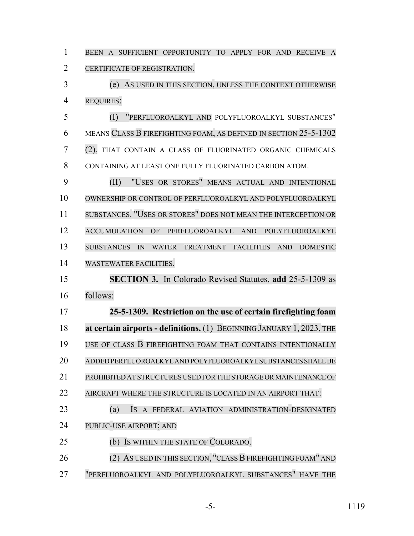BEEN A SUFFICIENT OPPORTUNITY TO APPLY FOR AND RECEIVE A CERTIFICATE OF REGISTRATION.

 (e) AS USED IN THIS SECTION, UNLESS THE CONTEXT OTHERWISE REQUIRES:

 (I) "PERFLUOROALKYL AND POLYFLUOROALKYL SUBSTANCES" MEANS CLASS B FIREFIGHTING FOAM, AS DEFINED IN SECTION 25-5-1302 (2), THAT CONTAIN A CLASS OF FLUORINATED ORGANIC CHEMICALS CONTAINING AT LEAST ONE FULLY FLUORINATED CARBON ATOM.

 (II) "USES OR STORES" MEANS ACTUAL AND INTENTIONAL OWNERSHIP OR CONTROL OF PERFLUOROALKYL AND POLYFLUOROALKYL SUBSTANCES. "USES OR STORES" DOES NOT MEAN THE INTERCEPTION OR ACCUMULATION OF PERFLUOROALKYL AND POLYFLUOROALKYL SUBSTANCES IN WATER TREATMENT FACILITIES AND DOMESTIC WASTEWATER FACILITIES.

 **SECTION 3.** In Colorado Revised Statutes, **add** 25-5-1309 as follows:

 **25-5-1309. Restriction on the use of certain firefighting foam at certain airports - definitions.** (1) BEGINNING JANUARY 1, 2023, THE 19 USE OF CLASS B FIREFIGHTING FOAM THAT CONTAINS INTENTIONALLY ADDED PERFLUOROALKYL AND POLYFLUOROALKYL SUBSTANCES SHALL BE PROHIBITED AT STRUCTURES USED FOR THE STORAGE OR MAINTENANCE OF AIRCRAFT WHERE THE STRUCTURE IS LOCATED IN AN AIRPORT THAT:

 (a) IS A FEDERAL AVIATION ADMINISTRATION-DESIGNATED PUBLIC-USE AIRPORT; AND

(b) IS WITHIN THE STATE OF COLORADO.

26 (2) AS USED IN THIS SECTION, "CLASS B FIREFIGHTING FOAM" AND "PERFLUOROALKYL AND POLYFLUOROALKYL SUBSTANCES" HAVE THE